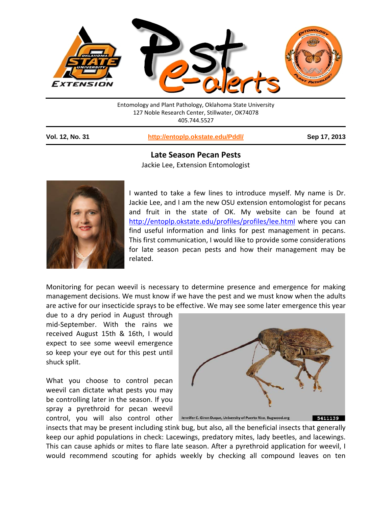

| Entomology and Plant Pathology, Oklahoma State University |  |
|-----------------------------------------------------------|--|
| 127 Noble Research Center, Stillwater, OK74078            |  |
| 405.744.5527                                              |  |
|                                                           |  |

**Vol. 12, No. 31 <http://entoplp.okstate.edu/Pddl/> Sep 17, 2013**

## **Late Season Pecan Pests**

Jackie Lee, Extension Entomologist



I wanted to take a few lines to introduce myself. My name is Dr. Jackie Lee, and I am the new OSU extension entomologist for pecans and fruit in the state of OK. My website can be found at <http://entoplp.okstate.edu/profiles/profiles/lee.html> where you can find useful information and links for pest management in pecans. This first communication, I would like to provide some considerations for late season pecan pests and how their management may be related.

Monitoring for pecan weevil is necessary to determine presence and emergence for making management decisions. We must know if we have the pest and we must know when the adults are active for our insecticide sprays to be effective. We may see some later emergence this year

due to a dry period in August through mid-September. With the rains we received August 15th & 16th, I would expect to see some weevil emergence so keep your eye out for this pest until shuck split.

What you choose to control pecan weevil can dictate what pests you may be controlling later in the season. If you spray a pyrethroid for pecan weevil CONTOI, you will also control other Jennifer C. Giron Duque, University of Puerto Rico, Bugwood.org



insects that may be present including stink bug, but also, all the beneficial insects that generally keep our aphid populations in check: Lacewings, predatory mites, lady beetles, and lacewings. This can cause aphids or mites to flare late season. After a pyrethroid application for weevil, I would recommend scouting for aphids weekly by checking all compound leaves on ten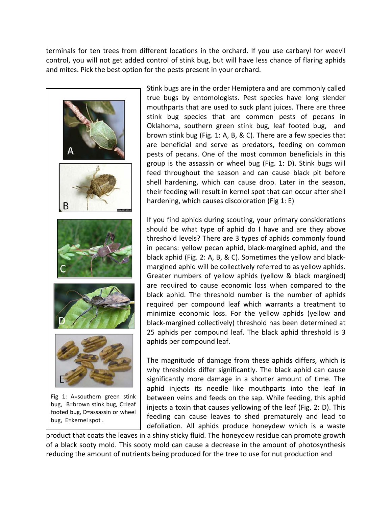terminals for ten trees from different locations in the orchard. If you use carbaryl for weevil control, you will not get added control of stink bug, but will have less chance of flaring aphids and mites. Pick the best option for the pests present in your orchard.



Stink bugs are in the order Hemiptera and are commonly called true bugs by entomologists. Pest species have long slender mouthparts that are used to suck plant juices. There are three stink bug species that are common pests of pecans in Oklahoma, southern green stink bug, leaf footed bug, and brown stink bug (Fig. 1: A, B, & C). There are a few species that are beneficial and serve as predators, feeding on common pests of pecans. One of the most common beneficials in this group is the assassin or wheel bug (Fig. 1: D). Stink bugs will feed throughout the season and can cause black pit before shell hardening, which can cause drop. Later in the season, their feeding will result in kernel spot that can occur after shell hardening, which causes discoloration (Fig 1: E)

If you find aphids during scouting, your primary considerations should be what type of aphid do I have and are they above threshold levels? There are 3 types of aphids commonly found in pecans: yellow pecan aphid, black-margined aphid, and the black aphid (Fig. 2: A, B, & C). Sometimes the yellow and blackmargined aphid will be collectively referred to as yellow aphids. Greater numbers of yellow aphids (yellow & black margined) are required to cause economic loss when compared to the black aphid. The threshold number is the number of aphids required per compound leaf which warrants a treatment to minimize economic loss. For the yellow aphids (yellow and black-margined collectively) threshold has been determined at 25 aphids per compound leaf. The black aphid threshold is 3 aphids per compound leaf.

The magnitude of damage from these aphids differs, which is why thresholds differ significantly. The black aphid can cause significantly more damage in a shorter amount of time. The aphid injects its needle like mouthparts into the leaf in between veins and feeds on the sap. While feeding, this aphid injects a toxin that causes yellowing of the leaf (Fig. 2: D). This feeding can cause leaves to shed prematurely and lead to defoliation. All aphids produce honeydew which is a waste

product that coats the leaves in a shiny sticky fluid. The honeydew residue can promote growth of a black sooty mold. This sooty mold can cause a decrease in the amount of photosynthesis reducing the amount of nutrients being produced for the tree to use for nut production and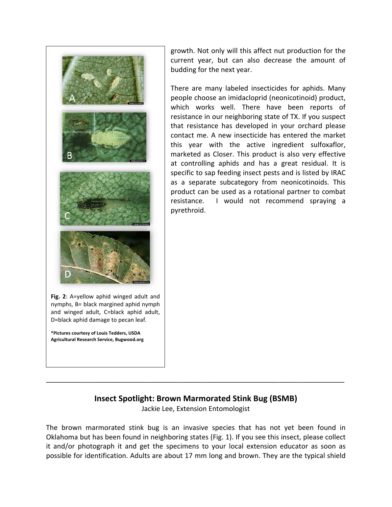

**\*Pictures courtesy of Louis Tedders, USDA Agricultural Research Service, Bugwood.org** growth. Not only will this affect nut production for the current year, but can also decrease the amount of budding for the next year.

There are many labeled insecticides for aphids. Many people choose an imidacloprid (neonicotinoid) product, which works well. There have been reports of resistance in our neighboring state of TX. If you suspect that resistance has developed in your orchard please contact me. A new insecticide has entered the market this year with the active ingredient sulfoxaflor, marketed as Closer. This product is also very effective at controlling aphids and has a great residual. It is specific to sap feeding insect pests and is listed by IRAC as a separate subcategory from neonicotinoids. This product can be used as a rotational partner to combat resistance. I would not recommend spraying a pyrethroid.

## **Insect Spotlight: Brown Marmorated Stink Bug (BSMB)**

Jackie Lee, Extension Entomologist

\_\_\_\_\_\_\_\_\_\_\_\_\_\_\_\_\_\_\_\_\_\_\_\_\_\_\_\_\_\_\_\_\_\_\_\_\_\_\_\_\_\_\_\_\_\_\_\_\_\_\_\_\_\_\_\_\_\_\_\_\_\_\_\_\_\_\_\_\_\_\_\_\_\_\_\_\_\_

The brown marmorated stink bug is an invasive species that has not yet been found in Oklahoma but has been found in neighboring states (Fig. 1). If you see this insect, please collect it and/or photograph it and get the specimens to your local extension educator as soon as possible for identification. Adults are about 17 mm long and brown. They are the typical shield